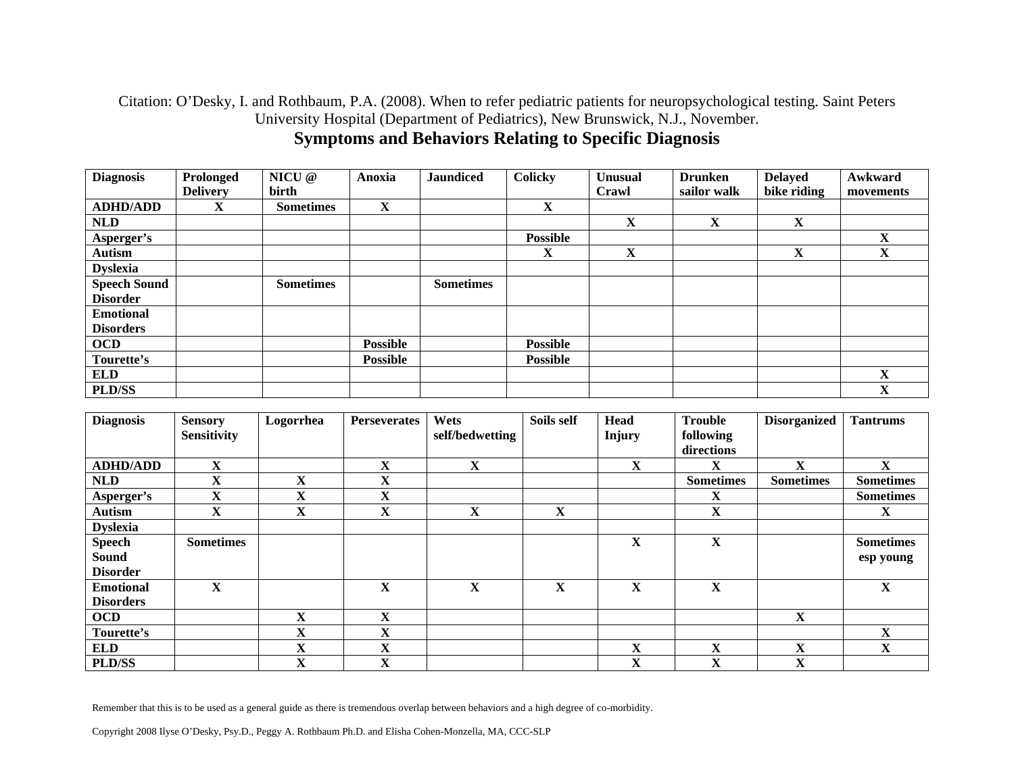#### Citation: O'Desky, I. and Rothbaum, P.A. (2008). When to refer pediatric patients for neuropsychological testing. Saint Peters University Hospital (Department of Pediatrics), New Brunswick, N.J., November. **Symptoms and Behaviors Relating to Specific Diagnosis**

| <b>Diagnosis</b>    | Prolonged       | NICU @           | Anoxia          | <b>Jaundiced</b> | <b>Colicky</b>  | <b>Unusual</b> | <b>Drunken</b> | <b>Delayed</b> | Awkward   |
|---------------------|-----------------|------------------|-----------------|------------------|-----------------|----------------|----------------|----------------|-----------|
|                     | <b>Delivery</b> | birth            |                 |                  |                 | Crawl          | sailor walk    | bike riding    | movements |
| <b>ADHD/ADD</b>     | X               | <b>Sometimes</b> | X               |                  | X               |                |                |                |           |
| <b>NLD</b>          |                 |                  |                 |                  |                 | X              | X              | $\mathbf X$    |           |
| Asperger's          |                 |                  |                 |                  | <b>Possible</b> |                |                |                | X         |
| <b>Autism</b>       |                 |                  |                 |                  | X               | $\mathbf X$    |                | $\mathbf X$    | X         |
| <b>Dyslexia</b>     |                 |                  |                 |                  |                 |                |                |                |           |
| <b>Speech Sound</b> |                 | <b>Sometimes</b> |                 | <b>Sometimes</b> |                 |                |                |                |           |
| <b>Disorder</b>     |                 |                  |                 |                  |                 |                |                |                |           |
| <b>Emotional</b>    |                 |                  |                 |                  |                 |                |                |                |           |
| <b>Disorders</b>    |                 |                  |                 |                  |                 |                |                |                |           |
| <b>OCD</b>          |                 |                  | <b>Possible</b> |                  | <b>Possible</b> |                |                |                |           |
| Tourette's          |                 |                  | <b>Possible</b> |                  | <b>Possible</b> |                |                |                |           |
| <b>ELD</b>          |                 |                  |                 |                  |                 |                |                |                | X         |
| <b>PLD/SS</b>       |                 |                  |                 |                  |                 |                |                |                | X         |

| <b>Diagnosis</b> | <b>Sensory</b><br><b>Sensitivity</b> | Logorrhea               | <b>Perseverates</b> | Wets<br>self/bedwetting | Soils self  | <b>Head</b><br>Injury | <b>Trouble</b><br>following | <b>Disorganized</b> | <b>Tantrums</b>  |
|------------------|--------------------------------------|-------------------------|---------------------|-------------------------|-------------|-----------------------|-----------------------------|---------------------|------------------|
|                  |                                      |                         |                     |                         |             |                       | directions                  |                     |                  |
| <b>ADHD/ADD</b>  | $\mathbf X$                          |                         | X                   | $\mathbf X$             |             | $\mathbf X$           | X                           | $\mathbf X$         | $\mathbf{X}$     |
| <b>NLD</b>       | X                                    | $\mathbf X$             | $\mathbf X$         |                         |             |                       | <b>Sometimes</b>            | <b>Sometimes</b>    | <b>Sometimes</b> |
| Asperger's       | $\mathbf X$                          | $\mathbf X$             | $\mathbf X$         |                         |             |                       | X                           |                     | <b>Sometimes</b> |
| <b>Autism</b>    | X                                    | $\mathbf X$             | X                   | $\mathbf X$             | $\mathbf X$ |                       | X                           |                     | X                |
| <b>Dyslexia</b>  |                                      |                         |                     |                         |             |                       |                             |                     |                  |
| <b>Speech</b>    | <b>Sometimes</b>                     |                         |                     |                         |             | $\mathbf X$           | $\mathbf{X}$                |                     | <b>Sometimes</b> |
| Sound            |                                      |                         |                     |                         |             |                       |                             |                     | esp young        |
| <b>Disorder</b>  |                                      |                         |                     |                         |             |                       |                             |                     |                  |
| <b>Emotional</b> | $\mathbf{X}$                         |                         | $\mathbf X$         | $\mathbf X$             | X           | $\mathbf{X}$          | X                           |                     | X                |
| <b>Disorders</b> |                                      |                         |                     |                         |             |                       |                             |                     |                  |
| <b>OCD</b>       |                                      | $\mathbf X$             | X                   |                         |             |                       |                             | X                   |                  |
| Tourette's       |                                      | X                       | $\mathbf X$         |                         |             |                       |                             |                     | $\mathbf{X}$     |
| <b>ELD</b>       |                                      | $\mathbf X$             | X                   |                         |             | $\mathbf X$           | X                           | X                   | $\mathbf{X}$     |
| <b>PLD/SS</b>    |                                      | $\overline{\mathbf{X}}$ | X                   |                         |             | X                     | X                           | X                   |                  |

Remember that this is to be used as a general guide as there is tremendous overlap between behaviors and a high degree of co-morbidity.

Copyright 2008 Ilyse O'Desky, Psy.D., Peggy A. Rothbaum Ph.D. and Elisha Cohen-Monzella, MA, CCC-SLP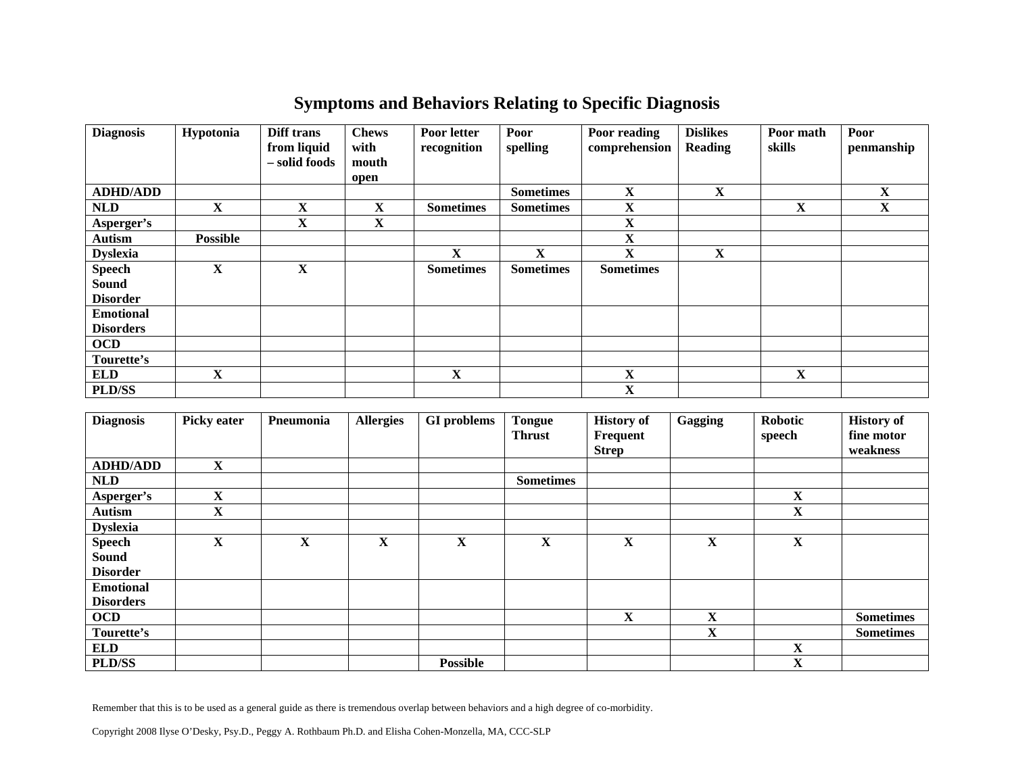# **Symptoms and Behaviors Relating to Specific Diagnosis**

| <b>Diagnosis</b>              | Hypotonia       | Diff trans<br>from liquid<br>- solid foods | <b>Chews</b><br>with<br>mouth | Poor letter<br>recognition | Poor<br>spelling | Poor reading<br>comprehension | <b>Dislikes</b><br><b>Reading</b> | Poor math<br>skills     | Poor<br>penmanship |
|-------------------------------|-----------------|--------------------------------------------|-------------------------------|----------------------------|------------------|-------------------------------|-----------------------------------|-------------------------|--------------------|
|                               |                 |                                            | open                          |                            |                  |                               |                                   |                         |                    |
| <b>ADHD/ADD</b>               |                 |                                            |                               |                            | <b>Sometimes</b> | $\mathbf X$                   | $\mathbf X$                       |                         | $\mathbf X$        |
| <b>NLD</b>                    | $\mathbf X$     | $\mathbf X$                                | $\mathbf{X}$                  | <b>Sometimes</b>           | <b>Sometimes</b> | $\mathbf X$                   |                                   | $\overline{\mathbf{X}}$ | X                  |
| Asperger's                    |                 | X                                          | $\mathbf X$                   |                            |                  | $\mathbf X$                   |                                   |                         |                    |
| <b>Autism</b>                 | <b>Possible</b> |                                            |                               |                            |                  | $\mathbf X$                   |                                   |                         |                    |
| <b>Dyslexia</b>               |                 |                                            |                               | $\mathbf X$                | $\mathbf{X}$     | X                             | $\mathbf X$                       |                         |                    |
| <b>Speech</b><br><b>Sound</b> | $\mathbf X$     | $\mathbf X$                                |                               | <b>Sometimes</b>           | <b>Sometimes</b> | <b>Sometimes</b>              |                                   |                         |                    |
| <b>Disorder</b>               |                 |                                            |                               |                            |                  |                               |                                   |                         |                    |
| <b>Emotional</b>              |                 |                                            |                               |                            |                  |                               |                                   |                         |                    |
| <b>Disorders</b>              |                 |                                            |                               |                            |                  |                               |                                   |                         |                    |
| <b>OCD</b>                    |                 |                                            |                               |                            |                  |                               |                                   |                         |                    |
| Tourette's                    |                 |                                            |                               |                            |                  |                               |                                   |                         |                    |
| <b>ELD</b>                    | $\mathbf X$     |                                            |                               | $\mathbf X$                |                  | $\mathbf X$                   |                                   | X                       |                    |
| <b>PLD/SS</b>                 |                 |                                            |                               |                            |                  | $\mathbf X$                   |                                   |                         |                    |

| <b>Diagnosis</b> | <b>Picky eater</b> | Pneumonia   | <b>Allergies</b> | <b>GI</b> problems | <b>Tongue</b>    | <b>History of</b> | Gagging     | <b>Robotic</b> | <b>History of</b> |
|------------------|--------------------|-------------|------------------|--------------------|------------------|-------------------|-------------|----------------|-------------------|
|                  |                    |             |                  |                    | <b>Thrust</b>    | Frequent          |             | speech         | fine motor        |
|                  |                    |             |                  |                    |                  | <b>Strep</b>      |             |                | weakness          |
| <b>ADHD/ADD</b>  | $\mathbf X$        |             |                  |                    |                  |                   |             |                |                   |
| <b>NLD</b>       |                    |             |                  |                    | <b>Sometimes</b> |                   |             |                |                   |
| Asperger's       | X                  |             |                  |                    |                  |                   |             | X              |                   |
| <b>Autism</b>    | $\mathbf X$        |             |                  |                    |                  |                   |             | $\mathbf X$    |                   |
| <b>Dyslexia</b>  |                    |             |                  |                    |                  |                   |             |                |                   |
| <b>Speech</b>    | $\mathbf X$        | $\mathbf X$ | $\mathbf X$      | $\mathbf X$        | $\mathbf X$      | X                 | $\mathbf X$ | X              |                   |
| <b>Sound</b>     |                    |             |                  |                    |                  |                   |             |                |                   |
| <b>Disorder</b>  |                    |             |                  |                    |                  |                   |             |                |                   |
| <b>Emotional</b> |                    |             |                  |                    |                  |                   |             |                |                   |
| <b>Disorders</b> |                    |             |                  |                    |                  |                   |             |                |                   |
| <b>OCD</b>       |                    |             |                  |                    |                  | X                 | $\mathbf X$ |                | <b>Sometimes</b>  |
| Tourette's       |                    |             |                  |                    |                  |                   | $\mathbf X$ |                | <b>Sometimes</b>  |
| <b>ELD</b>       |                    |             |                  |                    |                  |                   |             | X              |                   |
| PLD/SS           |                    |             |                  | <b>Possible</b>    |                  |                   |             | X              |                   |

Remember that this is to be used as a general guide as there is tremendous overlap between behaviors and a high degree of co-morbidity.

Copyright 2008 Ilyse O'Desky, Psy.D., Peggy A. Rothbaum Ph.D. and Elisha Cohen-Monzella, MA, CCC-SLP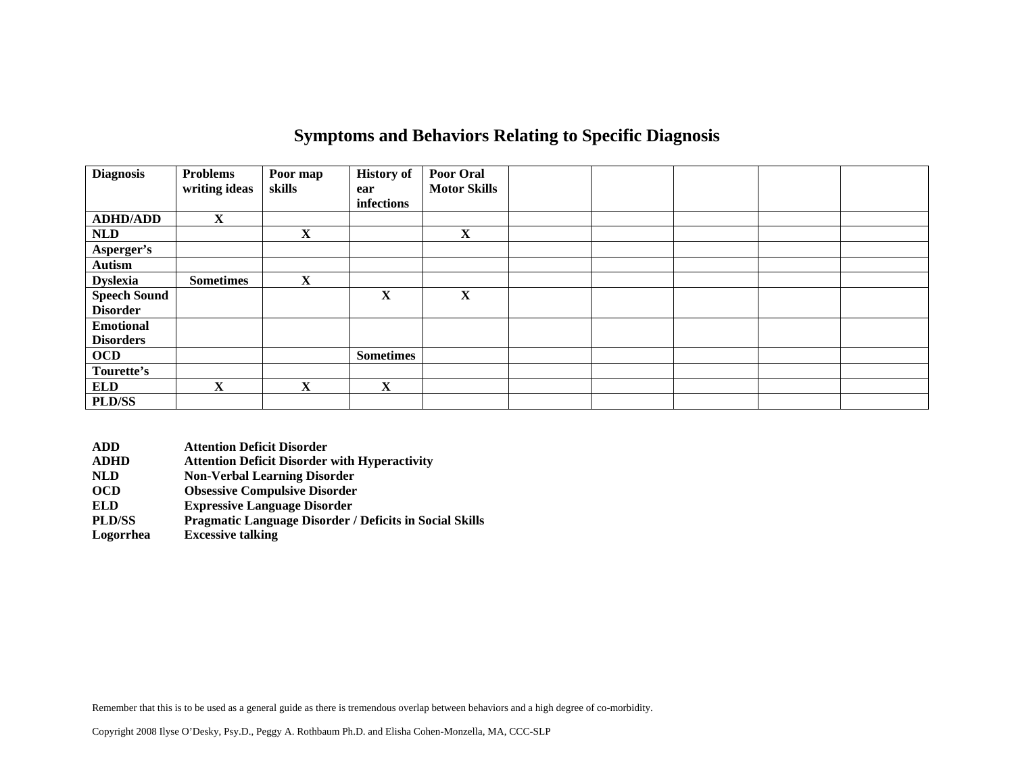### **Symptoms and Behaviors Relating to Specific Diagnosis**

| <b>Diagnosis</b>                       | <b>Problems</b><br>writing ideas | Poor map<br>skills | <b>History of</b><br>ear<br>infections | Poor Oral<br><b>Motor Skills</b> |  |  |  |
|----------------------------------------|----------------------------------|--------------------|----------------------------------------|----------------------------------|--|--|--|
| <b>ADHD/ADD</b>                        | $\mathbf X$                      |                    |                                        |                                  |  |  |  |
| <b>NLD</b>                             |                                  | X                  |                                        | $\mathbf X$                      |  |  |  |
| Asperger's                             |                                  |                    |                                        |                                  |  |  |  |
| <b>Autism</b>                          |                                  |                    |                                        |                                  |  |  |  |
| <b>Dyslexia</b>                        | <b>Sometimes</b>                 | $\mathbf X$        |                                        |                                  |  |  |  |
| <b>Speech Sound</b><br><b>Disorder</b> |                                  |                    | X                                      | $\mathbf X$                      |  |  |  |
| <b>Emotional</b>                       |                                  |                    |                                        |                                  |  |  |  |
| <b>Disorders</b>                       |                                  |                    |                                        |                                  |  |  |  |
| <b>OCD</b>                             |                                  |                    | <b>Sometimes</b>                       |                                  |  |  |  |
| Tourette's                             |                                  |                    |                                        |                                  |  |  |  |
| <b>ELD</b>                             | $\mathbf X$                      | X                  | $\mathbf X$                            |                                  |  |  |  |
| PLD/SS                                 |                                  |                    |                                        |                                  |  |  |  |

- **ADD Attention Deficit Disorder**
- **ADHD Attention Deficit Disorder with Hyperactivity**
- **NLD Non-Verbal Learning Disorder**
- **OCD Obsessive Compulsive Disorder**
- **ELD Expressive Language Disorder**
- **PLD/SS Pragmatic Language Disorder / Deficits in Social Skills**
- **Excessive talking**

Remember that this is to be used as a general guide as there is tremendous overlap between behaviors and a high degree of co-morbidity.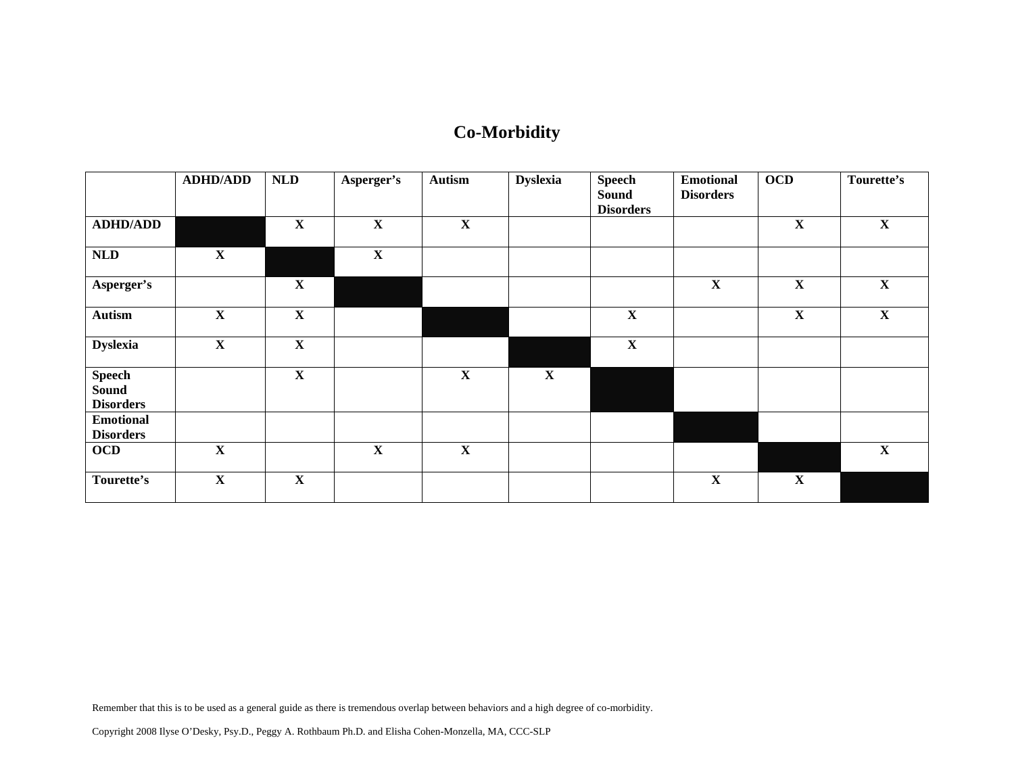# **Co-Morbidity**

|                                                   | <b>ADHD/ADD</b> | <b>NLD</b>  | Asperger's  | <b>Autism</b> | <b>Dyslexia</b> | <b>Speech</b><br><b>Sound</b><br><b>Disorders</b> | <b>Emotional</b><br><b>Disorders</b> | <b>OCD</b>  | Tourette's  |
|---------------------------------------------------|-----------------|-------------|-------------|---------------|-----------------|---------------------------------------------------|--------------------------------------|-------------|-------------|
| <b>ADHD/ADD</b>                                   |                 | $\mathbf X$ | $\mathbf X$ | $\mathbf X$   |                 |                                                   |                                      | $\mathbf X$ | X           |
| NLD                                               | $\mathbf X$     |             | $\mathbf X$ |               |                 |                                                   |                                      |             |             |
| Asperger's                                        |                 | $\mathbf X$ |             |               |                 |                                                   | $\mathbf X$                          | $\mathbf X$ | X           |
| <b>Autism</b>                                     | $\mathbf X$     | $\mathbf X$ |             |               |                 | $\mathbf X$                                       |                                      | $\mathbf X$ | $\mathbf X$ |
| <b>Dyslexia</b>                                   | $\mathbf X$     | $\mathbf X$ |             |               |                 | $\mathbf X$                                       |                                      |             |             |
| <b>Speech</b><br><b>Sound</b><br><b>Disorders</b> |                 | $\mathbf X$ |             | $\mathbf X$   | $\mathbf X$     |                                                   |                                      |             |             |
| <b>Emotional</b><br><b>Disorders</b>              |                 |             |             |               |                 |                                                   |                                      |             |             |
| <b>OCD</b>                                        | $\mathbf X$     |             | $\mathbf X$ | $\mathbf X$   |                 |                                                   |                                      |             | X           |
| Tourette's                                        | $\mathbf X$     | $\mathbf X$ |             |               |                 |                                                   | $\mathbf X$                          | $\mathbf X$ |             |

Remember that this is to be used as a general guide as there is tremendous overlap between behaviors and a high degree of co-morbidity.